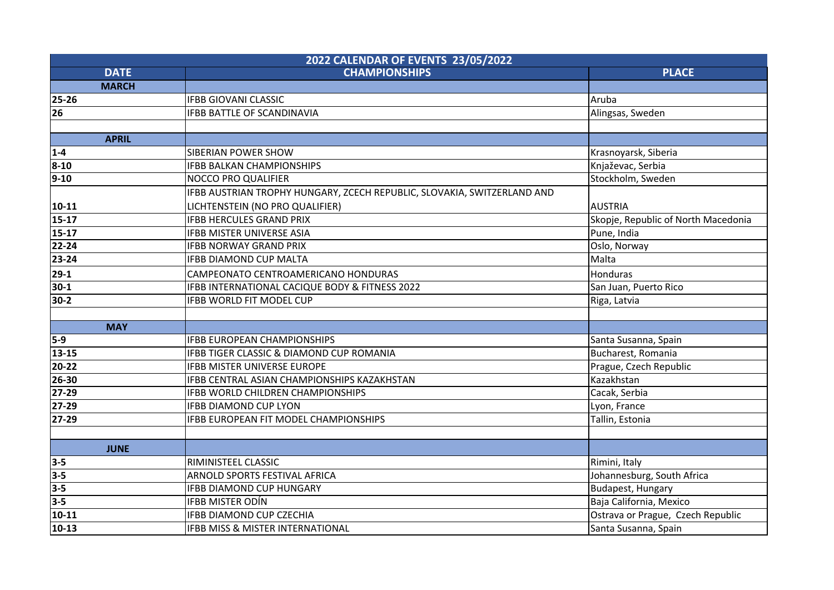| 2022 CALENDAR OF EVENTS 23/05/2022 |                                                                         |                                     |  |  |
|------------------------------------|-------------------------------------------------------------------------|-------------------------------------|--|--|
| <b>DATE</b>                        | <b>CHAMPIONSHIPS</b>                                                    | <b>PLACE</b>                        |  |  |
| <b>MARCH</b>                       |                                                                         |                                     |  |  |
| $25 - 26$                          | <b>IFBB GIOVANI CLASSIC</b>                                             | Aruba                               |  |  |
| 26                                 | <b>IFBB BATTLE OF SCANDINAVIA</b>                                       | Alingsas, Sweden                    |  |  |
|                                    |                                                                         |                                     |  |  |
| <b>APRIL</b>                       |                                                                         |                                     |  |  |
| $1 - 4$                            | <b>SIBERIAN POWER SHOW</b>                                              | Krasnoyarsk, Siberia                |  |  |
| $8 - 10$                           | <b>IFBB BALKAN CHAMPIONSHIPS</b>                                        | Knjaževac, Serbia                   |  |  |
| $ 9-10 $                           | <b>NOCCO PRO QUALIFIER</b>                                              | Stockholm, Sweden                   |  |  |
|                                    | IFBB AUSTRIAN TROPHY HUNGARY, ZCECH REPUBLIC, SLOVAKIA, SWITZERLAND AND |                                     |  |  |
| $ 10-11 $                          | LICHTENSTEIN (NO PRO QUALIFIER)                                         | <b>AUSTRIA</b>                      |  |  |
| $15-17$                            | <b>IFBB HERCULES GRAND PRIX</b>                                         | Skopje, Republic of North Macedonia |  |  |
| $15-17$                            | <b>IFBB MISTER UNIVERSE ASIA</b>                                        | Pune, India                         |  |  |
| 22-24                              | <b>IFBB NORWAY GRAND PRIX</b>                                           | Oslo, Norway                        |  |  |
| 23-24                              | <b>IFBB DIAMOND CUP MALTA</b>                                           | Malta                               |  |  |
| $ 29-1 $                           | CAMPEONATO CENTROAMERICANO HONDURAS                                     | <b>Honduras</b>                     |  |  |
| $30-1$                             | IFBB INTERNATIONAL CACIQUE BODY & FITNESS 2022                          | San Juan, Puerto Rico               |  |  |
| 30-2                               | IFBB WORLD FIT MODEL CUP                                                | Riga, Latvia                        |  |  |
|                                    |                                                                         |                                     |  |  |
| <b>MAY</b>                         |                                                                         |                                     |  |  |
| 5-9                                | <b>IFBB EUROPEAN CHAMPIONSHIPS</b>                                      | Santa Susanna, Spain                |  |  |
| $13 - 15$                          | IFBB TIGER CLASSIC & DIAMOND CUP ROMANIA                                | Bucharest, Romania                  |  |  |
| 20-22                              | <b>IFBB MISTER UNIVERSE EUROPE</b>                                      | Prague, Czech Republic              |  |  |
| 26-30                              | IFBB CENTRAL ASIAN CHAMPIONSHIPS KAZAKHSTAN                             | Kazakhstan                          |  |  |
| $ 27-29 $                          | <b>IFBB WORLD CHILDREN CHAMPIONSHIPS</b>                                | Cacak, Serbia                       |  |  |
| 27-29                              | <b>IFBB DIAMOND CUP LYON</b>                                            | Lyon, France                        |  |  |
| $27-29$                            | IFBB EUROPEAN FIT MODEL CHAMPIONSHIPS                                   | Tallin, Estonia                     |  |  |
|                                    |                                                                         |                                     |  |  |
| <b>JUNE</b>                        |                                                                         |                                     |  |  |
| $3 - 5$                            | RIMINISTEEL CLASSIC                                                     | Rimini, Italy                       |  |  |
| $3-5$                              | ARNOLD SPORTS FESTIVAL AFRICA                                           | Johannesburg, South Africa          |  |  |
| $3-5$                              | <b>IFBB DIAMOND CUP HUNGARY</b>                                         | <b>Budapest, Hungary</b>            |  |  |
| $3 - 5$                            | <b>IFBB MISTER ODÍN</b>                                                 | Baja California, Mexico             |  |  |
| $10 - 11$                          | IFBB DIAMOND CUP CZECHIA                                                | Ostrava or Prague, Czech Republic   |  |  |
| $10-13$                            | IFBB MISS & MISTER INTERNATIONAL                                        | Santa Susanna, Spain                |  |  |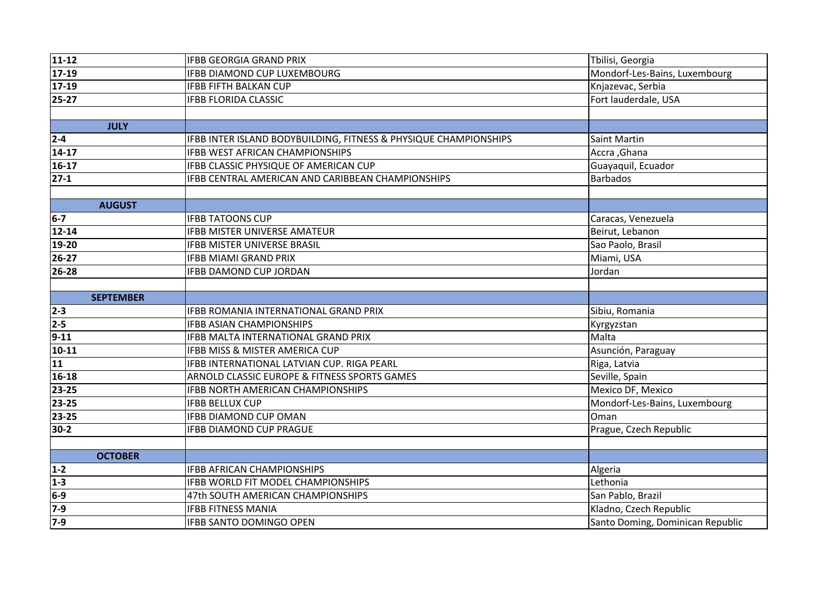| $11 - 12$        | <b>IFBB GEORGIA GRAND PRIX</b>                                   | Tbilisi, Georgia              |
|------------------|------------------------------------------------------------------|-------------------------------|
| $17-19$          | <b>IFBB DIAMOND CUP LUXEMBOURG</b>                               | Mondorf-Les-Bains, Luxembourg |
| $17-19$          | <b>IFBB FIFTH BALKAN CUP</b>                                     | Knjazevac, Serbia             |
| $25-27$          | <b>IFBB FLORIDA CLASSIC</b>                                      | Fort lauderdale, USA          |
|                  |                                                                  |                               |
| <b>JULY</b>      |                                                                  |                               |
| $2 - 4$          | IFBB INTER ISLAND BODYBUILDING, FITNESS & PHYSIQUE CHAMPIONSHIPS | <b>Saint Martin</b>           |
| $14 - 17$        | IFBB WEST AFRICAN CHAMPIONSHIPS                                  | Accra, Ghana                  |
| $16-17$          | IFBB CLASSIC PHYSIQUE OF AMERICAN CUP                            | Guayaquil, Ecuador            |
| $27-1$           | IFBB CENTRAL AMERICAN AND CARIBBEAN CHAMPIONSHIPS                | <b>Barbados</b>               |
|                  |                                                                  |                               |
| <b>AUGUST</b>    |                                                                  |                               |
| $6-7$            | <b>IFBB TATOONS CUP</b>                                          | Caracas, Venezuela            |
| $12 - 14$        | IFBB MISTER UNIVERSE AMATEUR                                     | Beirut, Lebanon               |
| 19-20            | <b>IFBB MISTER UNIVERSE BRASIL</b>                               | Sao Paolo, Brasil             |
| $26 - 27$        | <b>IFBB MIAMI GRAND PRIX</b>                                     | Miami, USA                    |
| 26-28            | <b>IFBB DAMOND CUP JORDAN</b>                                    | Jordan                        |
|                  |                                                                  |                               |
| <b>SEPTEMBER</b> |                                                                  |                               |
| $2 - 3$          | <b>IFBB ROMANIA INTERNATIONAL GRAND PRIX</b>                     | Sibiu, Romania                |
| $2 - 5$          | <b>IFBB ASIAN CHAMPIONSHIPS</b>                                  | Kyrgyzstan                    |
| $9 - 11$         | IFBB MALTA INTERNATIONAL GRAND PRIX                              | Malta                         |
| $10 - 11$        | <b>IFBB MISS &amp; MISTER AMERICA CUP</b>                        | Asunción, Paraguay            |
| 11               | IFBB INTERNATIONAL LATVIAN CUP. RIGA PEARL                       |                               |
| 16-18            |                                                                  | Riga, Latvia                  |
|                  | ARNOLD CLASSIC EUROPE & FITNESS SPORTS GAMES                     | Seville, Spain                |
| 23-25            | <b>IFBB NORTH AMERICAN CHAMPIONSHIPS</b>                         | Mexico DF, Mexico             |
| 23-25            | <b>IFBB BELLUX CUP</b>                                           | Mondorf-Les-Bains, Luxembourg |
| 23-25            | <b>IFBB DIAMOND CUP OMAN</b>                                     | Oman                          |
| $30-2$           | <b>IFBB DIAMOND CUP PRAGUE</b>                                   | Prague, Czech Republic        |
|                  |                                                                  |                               |
| <b>OCTOBER</b>   |                                                                  |                               |
| $1 - 2$          | <b>IFBB AFRICAN CHAMPIONSHIPS</b>                                | Algeria                       |
| $1 - 3$          | <b>IFBB WORLD FIT MODEL CHAMPIONSHIPS</b>                        | Lethonia                      |
| $6-9$            | 47th SOUTH AMERICAN CHAMPIONSHIPS                                | San Pablo, Brazil             |
| $7-9$            | <b>IFBB FITNESS MANIA</b>                                        | Kladno, Czech Republic        |